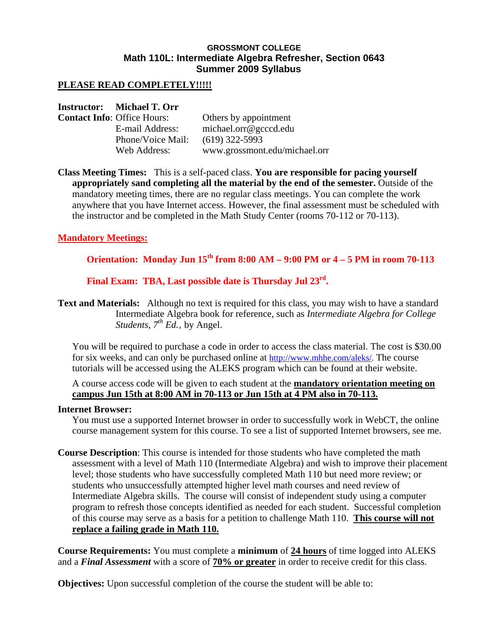## **GROSSMONT COLLEGE Math 110L: Intermediate Algebra Refresher, Section 0643 Summer 2009 Syllabus**

## **PLEASE READ COMPLETELY!!!!!**

### **Instructor: Michael T. Orr**

| <b>Contact Info: Office Hours:</b> | Others by appointment         |
|------------------------------------|-------------------------------|
| E-mail Address:                    | michael.org@gcccd.edu         |
| Phone/Voice Mail:                  | $(619)$ 322-5993              |
| Web Address:                       | www.grossmont.edu/michael.orr |

**Class Meeting Times:** This is a self-paced class. **You are responsible for pacing yourself appropriately sand completing all the material by the end of the semester.** Outside of the mandatory meeting times, there are no regular class meetings. You can complete the work anywhere that you have Internet access. However, the final assessment must be scheduled with the instructor and be completed in the Math Study Center (rooms 70-112 or 70-113).

## **Mandatory Meetings:**

# **Orientation: Monday Jun 15th from 8:00 AM – 9:00 PM or 4 – 5 PM in room 70-113**

**Final Exam: TBA, Last possible date is Thursday Jul 23rd.** 

**Text and Materials:** Although no text is required for this class, you may wish to have a standard Intermediate Algebra book for reference, such as *Intermediate Algebra for College Students, 7th Ed.*, by Angel.

You will be required to purchase a code in order to access the class material. The cost is \$30.00 for six weeks, and can only be purchased online at http://www.mhhe.com/aleks/. The course tutorials will be accessed using the ALEKS program which can be found at their website.

A course access code will be given to each student at the **mandatory orientation meeting on campus Jun 15th at 8:00 AM in 70-113 or Jun 15th at 4 PM also in 70-113.**

#### **Internet Browser:**

You must use a supported Internet browser in order to successfully work in WebCT, the online course management system for this course. To see a list of supported Internet browsers, see me.

**Course Description**: This course is intended for those students who have completed the math assessment with a level of Math 110 (Intermediate Algebra) and wish to improve their placement level; those students who have successfully completed Math 110 but need more review; or students who unsuccessfully attempted higher level math courses and need review of Intermediate Algebra skills. The course will consist of independent study using a computer program to refresh those concepts identified as needed for each student. Successful completion of this course may serve as a basis for a petition to challenge Math 110. **This course will not replace a failing grade in Math 110.** 

**Course Requirements:** You must complete a **minimum** of **24 hours** of time logged into ALEKS and a *Final Assessment* with a score of **70% or greater** in order to receive credit for this class.

**Objectives:** Upon successful completion of the course the student will be able to: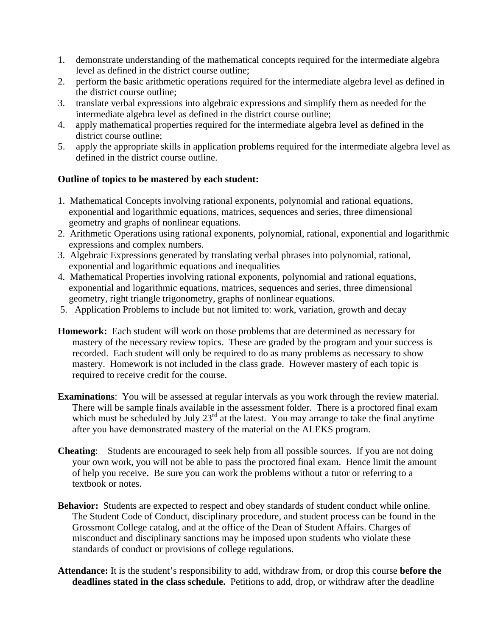- 1. demonstrate understanding of the mathematical concepts required for the intermediate algebra level as defined in the district course outline;
- 2. perform the basic arithmetic operations required for the intermediate algebra level as defined in the district course outline;
- 3. translate verbal expressions into algebraic expressions and simplify them as needed for the intermediate algebra level as defined in the district course outline;
- 4. apply mathematical properties required for the intermediate algebra level as defined in the district course outline;
- 5. apply the appropriate skills in application problems required for the intermediate algebra level as defined in the district course outline.

# **Outline of topics to be mastered by each student:**

- 1. Mathematical Concepts involving rational exponents, polynomial and rational equations, exponential and logarithmic equations, matrices, sequences and series, three dimensional geometry and graphs of nonlinear equations.
- 2. Arithmetic Operations using rational exponents, polynomial, rational, exponential and logarithmic expressions and complex numbers.
- 3. Algebraic Expressions generated by translating verbal phrases into polynomial, rational, exponential and logarithmic equations and inequalities
- 4. Mathematical Properties involving rational exponents, polynomial and rational equations, exponential and logarithmic equations, matrices, sequences and series, three dimensional geometry, right triangle trigonometry, graphs of nonlinear equations.
- 5. Application Problems to include but not limited to: work, variation, growth and decay
- **Homework:** Each student will work on those problems that are determined as necessary for mastery of the necessary review topics. These are graded by the program and your success is recorded. Each student will only be required to do as many problems as necessary to show mastery. Homework is not included in the class grade. However mastery of each topic is required to receive credit for the course.
- **Examinations**: You will be assessed at regular intervals as you work through the review material. There will be sample finals available in the assessment folder. There is a proctored final exam which must be scheduled by July  $23<sup>rd</sup>$  at the latest. You may arrange to take the final anytime after you have demonstrated mastery of the material on the ALEKS program.
- **Cheating**: Students are encouraged to seek help from all possible sources. If you are not doing your own work, you will not be able to pass the proctored final exam. Hence limit the amount of help you receive. Be sure you can work the problems without a tutor or referring to a textbook or notes.
- **Behavior:** Students are expected to respect and obey standards of student conduct while online. The Student Code of Conduct, disciplinary procedure, and student process can be found in the Grossmont College catalog, and at the office of the Dean of Student Affairs. Charges of misconduct and disciplinary sanctions may be imposed upon students who violate these standards of conduct or provisions of college regulations.
- **Attendance:** It is the student's responsibility to add, withdraw from, or drop this course **before the deadlines stated in the class schedule.** Petitions to add, drop, or withdraw after the deadline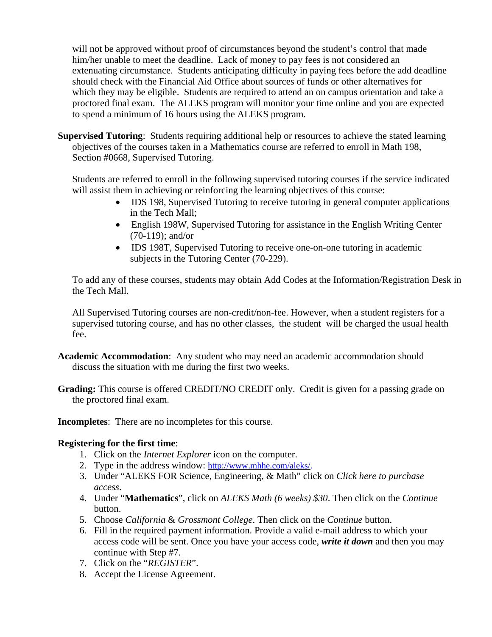will not be approved without proof of circumstances beyond the student's control that made him/her unable to meet the deadline. Lack of money to pay fees is not considered an extenuating circumstance. Students anticipating difficulty in paying fees before the add deadline should check with the Financial Aid Office about sources of funds or other alternatives for which they may be eligible. Students are required to attend an on campus orientation and take a proctored final exam. The ALEKS program will monitor your time online and you are expected to spend a minimum of 16 hours using the ALEKS program.

**Supervised Tutoring**: Students requiring additional help or resources to achieve the stated learning objectives of the courses taken in a Mathematics course are referred to enroll in Math 198, Section #0668, Supervised Tutoring.

Students are referred to enroll in the following supervised tutoring courses if the service indicated will assist them in achieving or reinforcing the learning objectives of this course:

- IDS 198, Supervised Tutoring to receive tutoring in general computer applications in the Tech Mall;
- English 198W, Supervised Tutoring for assistance in the English Writing Center (70-119); and/or
- IDS 198T, Supervised Tutoring to receive one-on-one tutoring in academic subjects in the Tutoring Center (70-229).

To add any of these courses, students may obtain Add Codes at the Information/Registration Desk in the Tech Mall.

All Supervised Tutoring courses are non-credit/non-fee. However, when a student registers for a supervised tutoring course, and has no other classes, the student will be charged the usual health fee.

- **Academic Accommodation**: Any student who may need an academic accommodation should discuss the situation with me during the first two weeks.
- **Grading:** This course is offered CREDIT/NO CREDIT only. Credit is given for a passing grade on the proctored final exam.

**Incompletes**: There are no incompletes for this course.

## **Registering for the first time**:

- 1. Click on the *Internet Explorer* icon on the computer.
- 2. Type in the address window: http://www.mhhe.com/aleks/.
- 3. Under "ALEKS FOR Science, Engineering, & Math" click on *Click here to purchase access*.
- 4. Under "**Mathematics**", click on *ALEKS Math (6 weeks) \$30*. Then click on the *Continue* button.
- 5. Choose *California* & *Grossmont College*. Then click on the *Continue* button.
- 6. Fill in the required payment information. Provide a valid e-mail address to which your access code will be sent. Once you have your access code, *write it down* and then you may continue with Step #7.
- 7. Click on the "*REGISTER*".
- 8. Accept the License Agreement.